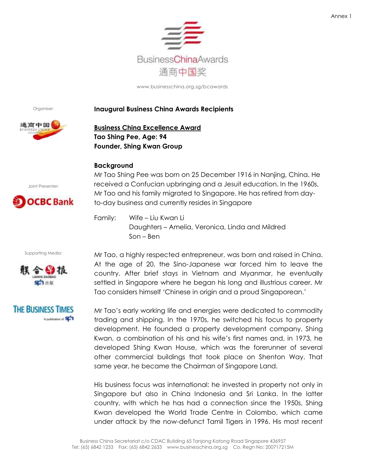

Organiser:

## **Inaugural Business China Awards Recipients**



**Business China Excellence Award Tao Shing Pee, Age: 94 Founder, Shing Kwan Group**

## **Background**

Joint Presenter:



Supporting Media:

**THE BUSINESS TIMES** 

A publication of SET

Mr Tao Shing Pee was born on 25 December 1916 in Nanjing, China. He received a Confucian upbringing and a Jesuit education. In the 1960s, Mr Tao and his family migrated to Singapore. He has retired from dayto-day business and currently resides in Singapore

Family: Wife – Liu Kwan Li Daughters – Amelia, Veronica, Linda and Mildred Son – Ben

Mr Tao, a highly respected entrepreneur, was born and raised in China. At the age of 20, the Sino-Japanese war forced him to leave the country. After brief stays in Vietnam and Myanmar, he eventually settled in Singapore where he began his long and illustrious career. Mr Tao considers himself "Chinese in origin and a proud Singaporean."

Mr Tao"s early working life and energies were dedicated to commodity trading and shipping. In the 1970s, he switched his focus to property development. He founded a property development company, Shing Kwan, a combination of his and his wife"s first names and, in 1973, he developed Shing Kwan House, which was the forerunner of several other commercial buildings that took place on Shenton Way. That same year, he became the Chairman of Singapore Land.

His business focus was international: he invested in property not only in Singapore but also in China Indonesia and Sri Lanka. In the latter country, with which he has had a connection since the 1950s, Shing Kwan developed the World Trade Centre in Colombo, which came under attack by the now-defunct Tamil Tigers in 1996. His most recent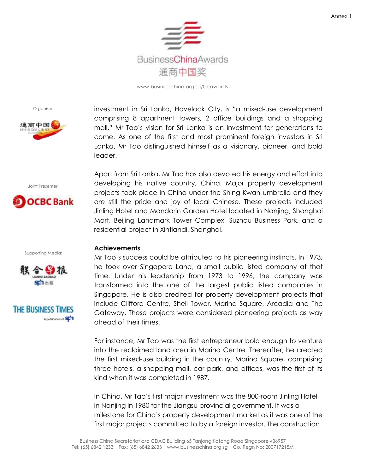

Organiser:



Joint Presenter:



Supporting Media:





investment in Sri Lanka, Havelock City, is "a mixed-use development comprising 8 apartment towers, 2 office buildings and a shopping mall." Mr Tao"s vision for Sri Lanka is an investment for generations to come. As one of the first and most prominent foreign investors in Sri Lanka, Mr Tao distinguished himself as a visionary, pioneer, and bold leader.

Apart from Sri Lanka, Mr Tao has also devoted his energy and effort into developing his native country, China. Major property development projects took place in China under the Shing Kwan umbrella and they are still the pride and joy of local Chinese. These projects included Jinling Hotel and Mandarin Garden Hotel located in Nanjing, Shanghai Mart, Beijing Landmark Tower Complex, Suzhou Business Park, and a residential project in Xintiandi, Shanghai.

# **Achievements**

Mr Tao"s success could be attributed to his pioneering instincts. In 1973, he took over Singapore Land, a small public listed company at that time. Under his leadership from 1973 to 1996, the company was transformed into the one of the largest public listed companies in Singapore. He is also credited for property development projects that include Clifford Centre, Shell Tower, Marina Square, Arcadia and The Gateway. These projects were considered pioneering projects as way ahead of their times.

For instance, Mr Tao was the first entrepreneur bold enough to venture into the reclaimed land area in Marina Centre. Thereafter, he created the first mixed-use building in the country. Marina Square, comprising three hotels, a shopping mall, car park, and offices, was the first of its kind when it was completed in 1987.

In China, Mr Tao"s first major investment was the 800-room Jinling Hotel in Nanjing in 1980 for the Jiangsu provincial government. It was a milestone for China"s property development market as it was one of the first major projects committed to by a foreign investor. The construction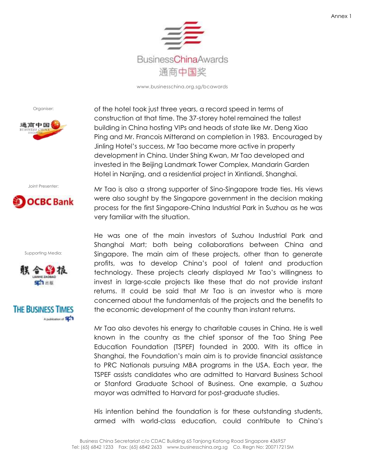

Organiser:



Joint Presenter:



Supporting Media:





of the hotel took just three years, a record speed in terms of construction at that time. The 37-storey hotel remained the tallest building in China hosting VIPs and heads of state like Mr. Deng Xiao Ping and Mr. Francois Mitterand on completion in 1983. Encouraged by Jinling Hotel"s success, Mr Tao became more active in property development in China. Under Shing Kwan, Mr Tao developed and invested in the Beijing Landmark Tower Complex, Mandarin Garden Hotel in Nanjing, and a residential project in Xintiandi, Shanghai.

Mr Tao is also a strong supporter of Sino-Singapore trade ties. His views were also sought by the Singapore government in the decision making process for the first Singapore-China Industrial Park in Suzhou as he was very familiar with the situation.

He was one of the main investors of Suzhou Industrial Park and Shanghai Mart; both being collaborations between China and Singapore. The main aim of these projects, other than to generate profits, was to develop China"s pool of talent and production technology. These projects clearly displayed Mr Tao"s willingness to invest in large-scale projects like these that do not provide instant returns. It could be said that Mr Tao is an investor who is more concerned about the fundamentals of the projects and the benefits to the economic development of the country than instant returns.

Mr Tao also devotes his energy to charitable causes in China. He is well known in the country as the chief sponsor of the Tao Shing Pee Education Foundation (TSPEF) founded in 2000. With its office in Shanghai, the Foundation"s main aim is to provide financial assistance to PRC Nationals pursuing MBA programs in the USA. Each year, the TSPEF assists candidates who are admitted to Harvard Business School or Stanford Graduate School of Business. One example, a Suzhou mayor was admitted to Harvard for post-graduate studies.

His intention behind the foundation is for these outstanding students, armed with world-class education, could contribute to China"s